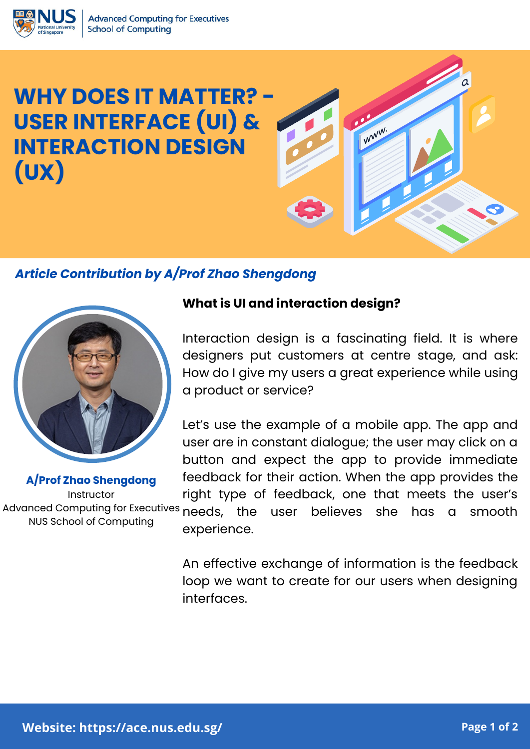

# **WHY DOES IT MATTER? - USER INTERFACE (UI) & INTERACTION DESIGN (UX)**

## *Article Contribution by A/Prof Zhao Shengdong*



**A/Prof Zhao Shengdong Instructor** NUS School of Computing

#### **What is UI and interaction design?**

Interaction design is a fascinating field. It is where designers put customers at centre stage, and ask: How do I give my users a great experience while using a product or service?

WWW.

Let's use the example of a mobile app. The app and user are in constant dialogue; the user may click on a button and expect the app to provide immediate feedback for their action. When the app provides the right type of feedback, one that meets the user's Advanced Computing for Executives needs, the user believes she has a smooth experience.

> An effective exchange of information is the feedback loop we want to create for our users when designing interfaces.